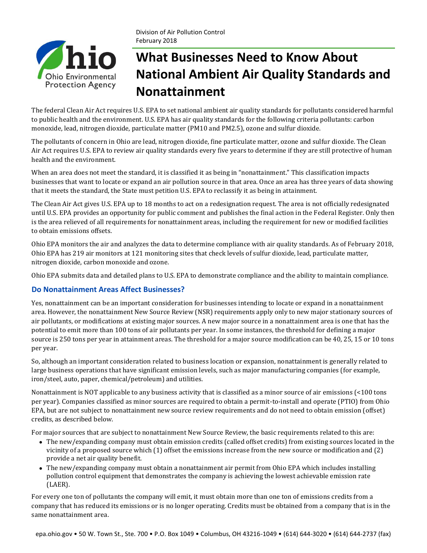

# **What Businesses Need to Know About National Ambient Air Quality Standards and Nonattainment**

The federal Clean Air Act requires U.S. EPA to set national ambient air quality standards for pollutants considered harmful to public health and the environment. U.S. EPA has air quality standards for the following criteria pollutants: carbon monoxide, lead, nitrogen dioxide, particulate matter (PM10 and PM2.5), ozone and sulfur dioxide.

The pollutants of concern in Ohio are lead, nitrogen dioxide, fine particulate matter, ozone and sulfur dioxide. The Clean Air Act requires U.S. EPA to review air quality standards every five years to determine if they are still protective of human health and the environment.

When an area does not meet the standard, it is classified it as being in "nonattainment." This classification impacts businesses that want to locate or expand an air pollution source in that area. Once an area has three years of data showing that it meets the standard, the State must petition U.S. EPA to reclassify it as being in attainment.

The Clean Air Act gives U.S. EPA up to 18 months to act on a redesignation request. The area is not officially redesignated until U.S. EPA provides an opportunity for public comment and publishes the final action in the Federal Register. Only then is the area relieved of all requirements for nonattainment areas, including the requirement for new or modified facilities to obtain emissions offsets.

Ohio EPA monitors the air and analyzes the data to determine compliance with air quality standards. As of February 2018, Ohio EPA has 219 air monitors at 121 monitoring sites that check levels of sulfur dioxide, lead, particulate matter, nitrogen dioxide, carbon monoxide and ozone.

Ohio EPA submits data and detailed plans to U.S. EPA to demonstrate compliance and the ability to maintain compliance.

### **Do Nonattainment Areas Affect Businesses?**

Yes, nonattainment can be an important consideration for businesses intending to locate or expand in a nonattainment area. However, the nonattainment New Source Review (NSR) requirements apply only to new major stationary sources of air pollutants, or modifications at existing major sources. A new major source in a nonattainment area is one that has the potential to emit more than 100 tons of air pollutants per year. In some instances, the threshold for defining a major source is 250 tons per year in attainment areas. The threshold for a major source modification can be 40, 25, 15 or 10 tons per year.

So, although an important consideration related to business location or expansion, nonattainment is generally related to large business operations that have significant emission levels, such as major manufacturing companies (for example, iron/steel, auto, paper, chemical/petroleum) and utilities.

Nonattainment is NOT applicable to any business activity that is classified as a minor source of air emissions (<100 tons) per year). Companies classified as minor sources are required to obtain a permit-to-install and operate (PTIO) from Ohio EPA, but are not subject to nonattainment new source review requirements and do not need to obtain emission (offset) credits, as described below.

For major sources that are subject to nonattainment New Source Review, the basic requirements related to this are:

- The new/expanding company must obtain emission credits (called offset credits) from existing sources located in the vicinity of a proposed source which (1) offset the emissions increase from the new source or modification and (2) provide a net air quality benefit.
- The new/expanding company must obtain a nonattainment air permit from Ohio EPA which includes installing pollution control equipment that demonstrates the company is achieving the lowest achievable emission rate (LAER).

For every one ton of pollutants the company will emit, it must obtain more than one ton of emissions credits from a company that has reduced its emissions or is no longer operating. Credits must be obtained from a company that is in the same nonattainment area.